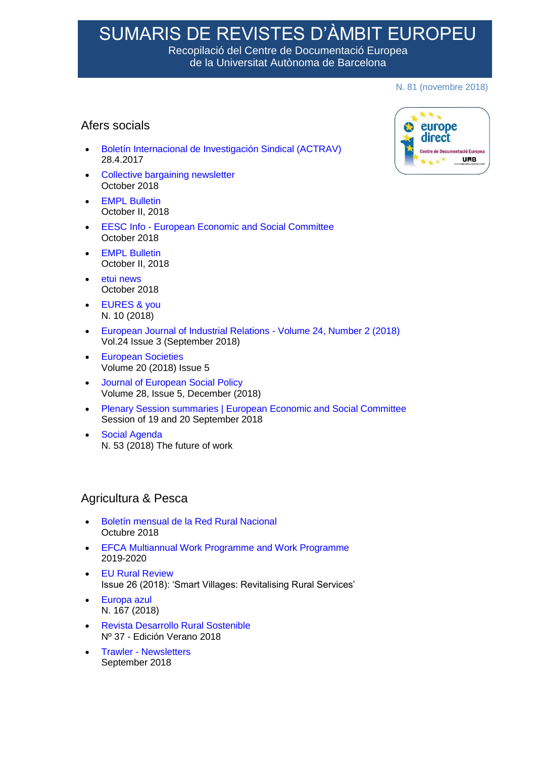# SUMARIS DE REVISTES D'ÀMBIT EUROPEU

Recopilació del Centre de Documentació Europea de la Universitat Autònoma de Barcelona

#### N. 81 (novembre 2018)

# Afers socials

- [Boletín Internacional de Investigación Sindical \(ACTRAV\)](https://www.ilo.org/actrav/info/international-journal-labour-research/lang--es/index.htm) 28.4.2017
- [Collective bargaining newsletter](http://www.etui.org/E-Newsletters/Collective-bargaining-newsletter) October 2018
- [EMPL Bulletin](http://www.europarl.europa.eu/committees/es/empl/newsletters.html) October II, 2018
- EESC Info [European Economic and Social Committee](https://www.eesc.europa.eu/en/news-media/eesc-info) October 2018
- [EMPL Bulletin](http://www.europarl.europa.eu/committees/es/empl/newsletters.html) October II, 2018
- [etui news](https://www.etui.org/Newsletter) October 2018
- [EURES & you](https://ec.europa.eu/eures/main.jsp?lang=es&acro=news&subForNews=yes) N. 10 (2018)
- [European Journal of Industrial Relations -](http://journals.sagepub.com/toc/ejd/current) Volume 24, Number 2 (2018) Vol.24 Issue 3 (September 2018)
- **[European Societies](https://www.tandfonline.com/loi/reus20?close=20&year=2018&repitition=0)** Volume 20 (2018) Issue 5
- [Journal of European Social Policy](http://journals.sagepub.com/toc/espa/current) Volume 28, Issue 5, December (2018)
- [Plenary Session summaries | European Economic and Social Committee](https://www.eesc.europa.eu/es/our-work/opinions-information-reports/plenary-session-summaries) Session of 19 and 20 September 2018
- [Social Agenda](http://ec.europa.eu/social/main.jsp?catId=737&langId=es) N. 53 (2018) The future of work

#### Agricultura & Pesca

- [Boletín mensual de la Red Rural Nacional](https://www.redruralnacional.es/boletin-rrn) Octubre 2018
- [EFCA Multiannual Work Programme and Work Programme](https://www.efca.europa.eu/es/media-kits) 2019-2020
- [EU Rural Review](https://enrd.ec.europa.eu/publications/search/_en?f%5B0%5D=im_field_enrd_publication_type%3A20482) Issue 26 (2018): 'Smart Villages: Revitalising Rural Services'
- [Europa azul](https://dialnet.unirioja.es/servlet/revista?codigo=3030)  N. 167 (2018)
- [Revista Desarrollo Rural Sostenible](http://www.redruralnacional.es/boletin-de-la-red-rural-naciona) Nº 37 - Edición Verano 2018
- Trawler [Newsletters](http://www.europarl.europa.eu/committees/es/pech/newsletters.html) September 2018

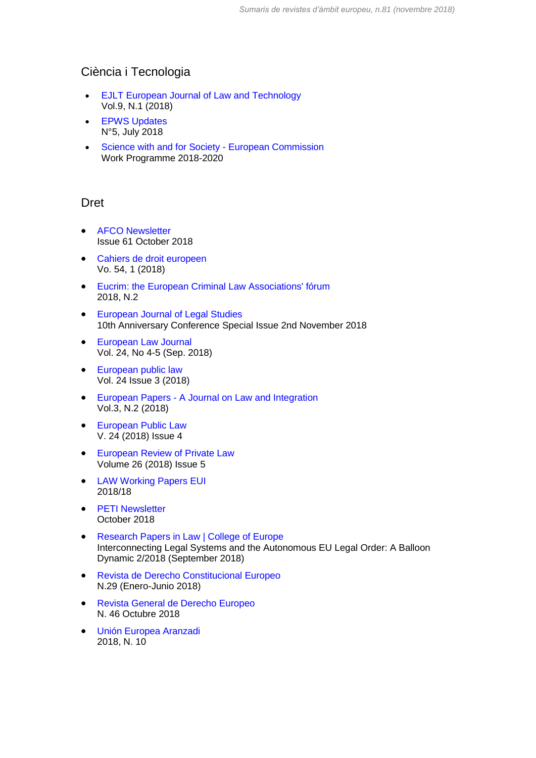# Ciència i Tecnologia

- [EJLT European Journal of Law and Technology](http://ejlt.org/issue/current) Vol.9, N.1 (2018)
- **•** [EPWS Updates](https://epws.org/newsletter-archive/) N°5, July 2018
- [Science with and for Society -](http://ec.europa.eu/programmes/horizon2020/en/h2020-section/science-and-society) European Commission Work Programme 2018-2020

#### Dret

- [AFCO Newsletter](http://www.europarl.europa.eu/committees/es/afco/newsletters.html) Issue 61 October 2018
- [Cahiers de droit europeen](https://dialnet.unirioja.es/servlet/revista?codigo=257)  Vo. 54, 1 (2018)
- [Eucrim: the European Criminal Law Associations' fórum](https://dialnet.unirioja.es/servlet/revista?codigo=24728)  2018, N.2
- [European Journal of Legal Studies](https://ejls.eui.eu/category/issues/) 10th Anniversary Conference Special Issue 2nd November 2018
- [European Law Journal](https://onlinelibrary.wiley.com/toc/14680386/2018/24/4-5) Vol. 24, No 4-5 (Sep. 2018)
- European public law Vol. 24 Issue 3 (2018)
- European Papers [A Journal on Law and Integration](http://www.europeanpapers.eu/en/content/e-journal/EP_eJ_2017_1) Vol.3, N.2 (2018)
- [European Public Law](http://www.kluwerlawonline.com/toc.php?pubcode=EURO&PHPSESSID=6etldtg783sk6sjpdor2bh97r3) V. 24 (2018) Issue 4
- **[European Review of Private Law](http://www.kluwerlawonline.com/toc.php?area=Journals&mode=bypub&level=4&values=Journals~~European+Review+of+Private+Law)** Volume 26 (2018) Issue 5
- [LAW Working Papers EUI](http://cadmus.eui.eu/handle/1814/3/browse?type=dateissued) 2018/18
- [PETI Newsletter](http://www.europarl.europa.eu/committees/es/peti/newsletters.html) October 2018
- [Research Papers in Law | College of Europe](https://www.coleurope.eu/study/european-legal-studies/research-activities/research-papers-law) Interconnecting Legal Systems and the Autonomous EU Legal Order: A Balloon Dynamic 2/2018 (September 2018)
- [Revista de Derecho Constitucional Europeo](http://www.ugr.es/~redce/ReDCEportada.htm) N.29 (Enero-Junio 2018)
- [Revista General de Derecho Europeo](https://dialnet.unirioja.es/servlet/revista?codigo=5683)  N. 46 Octubre 2018
- [Unión Europea Aranzadi](https://dialnet.unirioja.es/servlet/revista?codigo=1713) 2018, N. 10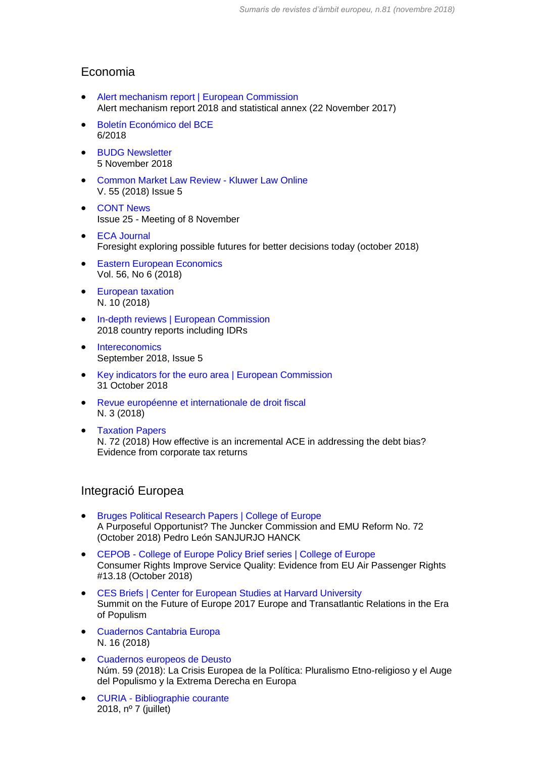### Economia

- [Alert mechanism report | European Commission](https://ec.europa.eu/info/business-economy-euro/economic-and-fiscal-policy-coordination/eu-economic-governance-monitoring-prevention-correction/macroeconomic-imbalance-procedure/alert-mechanism-report_en) Alert mechanism report 2018 and statistical annex (22 November 2017)
- [Boletín Económico del BCE](https://www.bde.es/bde/es/secciones/informes/Publicaciones_de/boletin-economic/) 6/2018
- **•** [BUDG Newsletter](http://www.europarl.europa.eu/committees/es/budg/newsletters.html) 5 November 2018
- [Common Market Law Review -](http://www.kluwerlawonline.com/toc.php?area=Journals&mode=bypub&level=4&values=Journals~~Common+Market+Law+Review) Kluwer Law Online V. 55 (2018) Issue 5
- [CONT News](http://www.europarl.europa.eu/committees/es/cont/newsletters.html) Issue 25 - Meeting of 8 November
- [ECA Journal](https://www.eca.europa.eu/en/Pages/Journal.aspx) Foresight exploring possible futures for better decisions today (october 2018)
- **[Eastern European Economics](https://www.tandfonline.com/toc/meee20/current)** Vol. 56, No 6 (2018)
- **•** [European taxation](https://dialnet.unirioja.es/servlet/revista?codigo=16428) N. 10 (2018)
- [In-depth reviews | European Commission](https://ec.europa.eu/info/business-economy-euro/economic-and-fiscal-policy-coordination/eu-economic-governance-monitoring-prevention-correction/macroeconomic-imbalance-procedure/depth-reviews_en) 2018 country reports including IDRs
- [Intereconomics](https://link.springer.com/journal/volumesAndIssues/10272) September 2018, Issue 5
- [Key indicators for the euro area | European Commission](https://ec.europa.eu/info/business-economy-euro/indicators-statistics/economic-databases/key-indicators-euro-area_en) 31 October 2018
- [Revue européenne et internationale de droit fiscal](https://dialnet.unirioja.es/servlet/revista?codigo=23523) N. 3 (2018)
- [Taxation Papers](https://ec.europa.eu/taxation_customs/publications/taxation-services-papers/taxation-papers_en) N. 72 (2018) How effective is an incremental ACE in addressing the debt bias? Evidence from corporate tax returns

#### Integració Europea

- [Bruges Political Research Papers | College of Europe](https://www.coleurope.eu/study/european-political-and-administrative-studies/research-publications/bruges-political-research) A Purposeful Opportunist? The Juncker Commission and EMU Reform No. 72 (October 2018) Pedro León SANJURJO HANCK
- CEPOB [College of Europe Policy Brief series | College of Europe](https://www.coleurope.eu/research/publications/cepob-college-europe-policy-brief-series) Consumer Rights Improve Service Quality: Evidence from EU Air Passenger Rights #13.18 (October 2018)
- [CES Briefs | Center for European Studies at Harvard University](https://ces.fas.harvard.edu/research/ces-briefs-1) Summit on the Future of Europe 2017 Europe and Transatlantic Relations in the Era of Populism
- [Cuadernos Cantabria Europa](https://dialnet.unirioja.es/servlet/revista?codigo=17898) N. 16 (2018)
- [Cuadernos europeos de Deusto](https://dialnet.unirioja.es/servlet/revista?codigo=385) Núm. 59 (2018): La Crisis Europea de la Política: Pluralismo Etno-religioso y el Auge del Populismo y la Extrema Derecha en Europa
- CURIA [Bibliographie courante](https://curia.europa.eu/jcms/jcms/Jo2_11939/bibliographie-courante) 2018, nº 7 (juillet)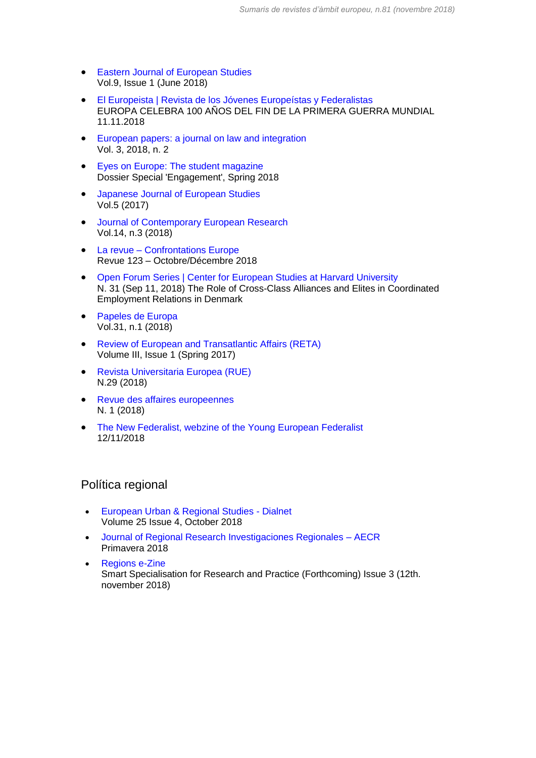- **•** [Eastern Journal of European Studies](http://ejes.uaic.ro/current_issue.htm) Vol.9, Issue 1 (June 2018)
- [El Europeista | Revista de los Jóvenes Europeístas y Federalistas](https://www.eleuropeista.eu/) EUROPA CELEBRA 100 AÑOS DEL FIN DE LA PRIMERA GUERRA MUNDIAL 11.11.2018
- [European papers: a journal on law and integration](https://dialnet.unirioja.es/servlet/revista?codigo=24732)  Vol. 3, 2018, n. 2
- [Eyes on Europe: The student magazine](http://eyes-on-europe.eu/archives/) Dossier Special 'Engagement', Spring 2018
- **•** [Japanese Journal of European Studies](https://www.waseda.jp/inst/oris/news/2017/06/29/1507/) Vol.5 (2017)
- [Journal of Contemporary European Research](http://www.jcer.net/index.php/jcer) Vol.14, n.3 (2018)
- La revue [Confrontations Europe](http://confrontations.org/publications/la-revue/) Revue 123 – Octobre/Décembre 2018
- [Open Forum Series | Center for European Studies at Harvard University](https://ces.fas.harvard.edu/research/open-forum-series) N. 31 (Sep 11, 2018) The Role of Cross-Class Alliances and Elites in Coordinated Employment Relations in Denmark
- [Papeles de Europa](http://revistas.ucm.es/index.php/PADE/issue/current) Vol.31, n.1 (2018)
- [Review of European and Transatlantic Affairs \(RETA\)](https://www.europeanhorizons.org/publications) Volume III, Issue 1 (Spring 2017)
- [Revista Universitaria Europea \(RUE\)](http://www.revistarue.eu/rue5.htm) N.29 (2018)
- [Revue des affaires europeennes](https://dialnet.unirioja.es/servlet/revista?codigo=1267) N. 1 (2018)
- [The New Federalist, webzine of the Young European Federalist](https://www.thenewfederalist.eu/) 12/11/2018

#### Política regional

- [European Urban & Regional Studies -](https://dialnet.unirioja.es/servlet/revista?codigo=20811) Dialnet Volume 25 Issue 4, October 2018
- [Journal of Regional Research Investigaciones Regionales –](http://investigacionesregionales.org/) AECR Primavera 2018
- [Regions e-Zine](https://regions.regionalstudies.org/) Smart Specialisation for Research and Practice (Forthcoming) Issue 3 (12th. november 2018)